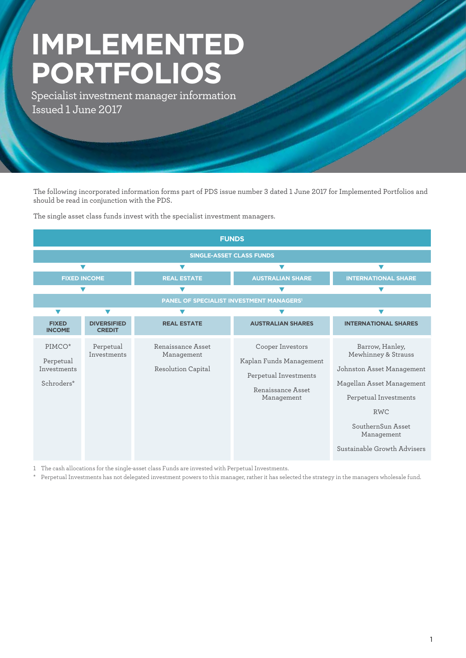# **IMPLEMENTED PORTFOLIOS**

Specialist investment manager information Issued 1 June 2017

The following incorporated information forms part of PDS issue number 3 dated 1 June 2017 for Implemented Portfolios and should be read in conjunction with the PDS.

The single asset class funds invest with the specialist investment managers.



1 The cash allocations for the single-asset class Funds are invested with Perpetual Investments.

\* Perpetual Investments has not delegated investment powers to this manager, rather it has selected the strategy in the managers wholesale fund.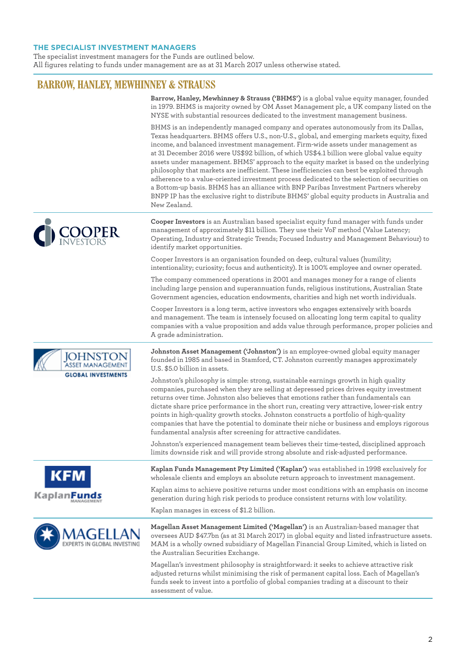### **THE SPECIALIST INVESTMENT MANAGERS**

The specialist investment managers for the Funds are outlined below. All figures relating to funds under management are as at 31 March 2017 unless otherwise stated.

## **BARROW, HANLEY, MEWHINNEY & STRAUSS**

|                                            | Barrow, Hanley, Mewhinney & Strauss ('BHMS') is a global value equity manager, founded<br>in 1979. BHMS is majority owned by OM Asset Management plc, a UK company listed on the<br>NYSE with substantial resources dedicated to the investment management business.                                                                                                                                                                                                                                                                                                                                                                                                                                                                                                                                                                                                 |
|--------------------------------------------|----------------------------------------------------------------------------------------------------------------------------------------------------------------------------------------------------------------------------------------------------------------------------------------------------------------------------------------------------------------------------------------------------------------------------------------------------------------------------------------------------------------------------------------------------------------------------------------------------------------------------------------------------------------------------------------------------------------------------------------------------------------------------------------------------------------------------------------------------------------------|
|                                            | BHMS is an independently managed company and operates autonomously from its Dallas,<br>Texas headquarters. BHMS offers U.S., non-U.S., global, and emerging markets equity, fixed<br>income, and balanced investment management. Firm-wide assets under management as<br>at 31 December 2016 were US\$92 billion, of which US\$4.1 billion were global value equity<br>assets under management. BHMS' approach to the equity market is based on the underlying<br>philosophy that markets are inefficient. These inefficiencies can best be exploited through<br>adherence to a value-oriented investment process dedicated to the selection of securities on<br>a Bottom-up basis. BHMS has an alliance with BNP Paribas Investment Partners whereby<br>BNPP IP has the exclusive right to distribute BHMS' global equity products in Australia and<br>New Zealand. |
|                                            | Cooper Investors is an Australian based specialist equity fund manager with funds under<br>management of approximately \$11 billion. They use their VoF method (Value Latency;<br>Operating, Industry and Strategic Trends; Focused Industry and Management Behaviour) to<br>identify market opportunities.                                                                                                                                                                                                                                                                                                                                                                                                                                                                                                                                                          |
|                                            | Cooper Investors is an organisation founded on deep, cultural values (humility;<br>intentionality; curiosity; focus and authenticity). It is 100% employee and owner operated.                                                                                                                                                                                                                                                                                                                                                                                                                                                                                                                                                                                                                                                                                       |
|                                            | The company commenced operations in 2001 and manages money for a range of clients<br>including large pension and superannuation funds, religious institutions, Australian State<br>Government agencies, education endowments, charities and high net worth individuals.                                                                                                                                                                                                                                                                                                                                                                                                                                                                                                                                                                                              |
|                                            | Cooper Investors is a long term, active investors who engages extensively with boards<br>and management. The team is intensely focused on allocating long term capital to quality<br>companies with a value proposition and adds value through performance, proper policies and<br>A grade administration.                                                                                                                                                                                                                                                                                                                                                                                                                                                                                                                                                           |
| <b>IOHNST</b><br><b>GLOBAL INVESTMENTS</b> | Johnston Asset Management ('Johnston') is an employee-owned global equity manager<br>founded in 1985 and based in Stamford, CT. Johnston currently manages approximately<br>U.S. \$5.0 billion in assets.                                                                                                                                                                                                                                                                                                                                                                                                                                                                                                                                                                                                                                                            |
|                                            | Johnston's philosophy is simple: strong, sustainable earnings growth in high quality<br>companies, purchased when they are selling at depressed prices drives equity investment<br>returns over time. Johnston also believes that emotions rather than fundamentals can<br>dictate share price performance in the short run, creating very attractive, lower-risk entry<br>points in high-quality growth stocks. Johnston constructs a portfolio of high-quality<br>companies that have the potential to dominate their niche or business and employs rigorous<br>fundamental analysis after screening for attractive candidates.                                                                                                                                                                                                                                    |
|                                            | Johnston's experienced management team believes their time-tested, disciplined approach<br>limits downside risk and will provide strong absolute and risk-adjusted performance.                                                                                                                                                                                                                                                                                                                                                                                                                                                                                                                                                                                                                                                                                      |
| <b>KFM</b>                                 | Kaplan Funds Management Pty Limited ('Kaplan') was established in 1998 exclusively for<br>wholesale clients and employs an absolute return approach to investment management.                                                                                                                                                                                                                                                                                                                                                                                                                                                                                                                                                                                                                                                                                        |
| Kaplan <b>Funds</b>                        | Kaplan aims to achieve positive returns under most conditions with an emphasis on income<br>generation during high risk periods to produce consistent returns with low volatility.                                                                                                                                                                                                                                                                                                                                                                                                                                                                                                                                                                                                                                                                                   |
|                                            | Kaplan manages in excess of \$1.2 billion.                                                                                                                                                                                                                                                                                                                                                                                                                                                                                                                                                                                                                                                                                                                                                                                                                           |



**Magellan Asset Management Limited ('Magellan')** is an Australian-based manager that oversees AUD \$47.7bn (as at 31 March 2017) in global equity and listed infrastructure assets. MAM is a wholly owned subsidiary of Magellan Financial Group Limited, which is listed on the Australian Securities Exchange.

Magellan's investment philosophy is straightforward: it seeks to achieve attractive risk adjusted returns whilst minimising the risk of permanent capital loss. Each of Magellan's funds seek to invest into a portfolio of global companies trading at a discount to their assessment of value.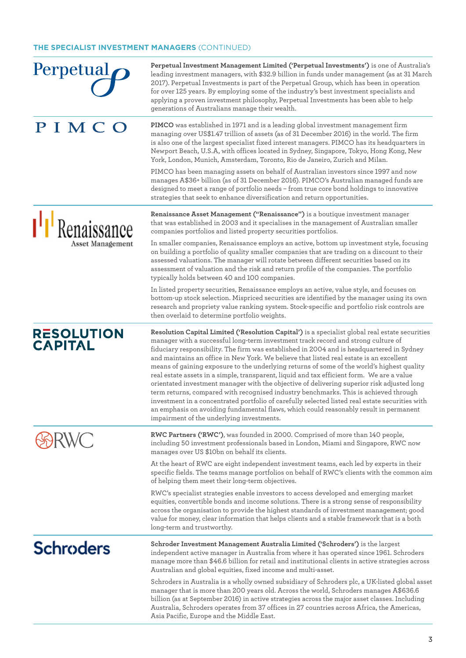#### **THE SPECIALIST INVESTMENT MANAGERS** (CONTINUED)

**Perpetual Investment Management Limited ('Perpetual Investments')** is one of Australia's Perpetual leading investment managers, with \$32.9 billion in funds under management (as at 31 March 2017). Perpetual Investments is part of the Perpetual Group, which has been in operation for over 125 years. By employing some of the industry's best investment specialists and applying a proven investment philosophy, Perpetual Investments has been able to help generations of Australians manage their wealth. PIMCO **PIMCO** was established in 1971 and is a leading global investment management firm managing over US\$1.47 trillion of assets (as of 31 December 2016) in the world. The firm is also one of the largest specialist fixed interest managers. PIMCO has its headquarters in Newport Beach, U.S.A, with offices located in Sydney, Singapore, Tokyo, Hong Kong, New York, London, Munich, Amsterdam, Toronto, Rio de Janeiro, Zurich and Milan. PIMCO has been managing assets on behalf of Australian investors since 1997 and now manages A\$36+ billion (as of 31 December 2016). PIMCO's Australian managed funds are designed to meet a range of portfolio needs – from true core bond holdings to innovative strategies that seek to enhance diversification and return opportunities. **Renaissance Asset Management ("Renaissance")** is a boutique investment manager <sup>1</sup> Renaissance that was established in 2003 and it specialises in the management of Australian smaller companies portfolios and listed property securities portfolios. Asset Management In smaller companies, Renaissance employs an active, bottom up investment style, focusing on building a portfolio of quality smaller companies that are trading on a discount to their assessed valuations. The manager will rotate between different securities based on its assessment of valuation and the risk and return profile of the companies. The portfolio typically holds between 40 and 100 companies. In listed property securities, Renaissance employs an active, value style, and focuses on bottom-up stock selection. Mispriced securities are identified by the manager using its own research and propriety value ranking system. Stock-specific and portfolio risk controls are then overlaid to determine portfolio weights. **RESOLUTION Resolution Capital Limited ('Resolution Capital')** is a specialist global real estate securities manager with a successful long-term investment track record and strong culture of **CAPITAL** fiduciary responsibility. The firm was established in 2004 and is headquartered in Sydney and maintains an office in New York. We believe that listed real estate is an excellent means of gaining exposure to the underlying returns of some of the world's highest quality real estate assets in a simple, transparent, liquid and tax efficient form. We are a value orientated investment manager with the objective of delivering superior risk adjusted long term returns, compared with recognised industry benchmarks. This is achieved through investment in a concentrated portfolio of carefully selected listed real estate securities with an emphasis on avoiding fundamental flaws, which could reasonably result in permanent impairment of the underlying investments. **RWC Partners ('RWC')**, was founded in 2000. Comprised of more than 140 people, **SARWC** including 50 investment professionals based in London, Miami and Singapore, RWC now manages over US \$10bn on behalf its clients. At the heart of RWC are eight independent investment teams, each led by experts in their specific fields. The teams manage portfolios on behalf of RWC's clients with the common aim of helping them meet their long-term objectives. RWC's specialist strategies enable investors to access developed and emerging market equities, convertible bonds and income solutions. There is a strong sense of responsibility across the organisation to provide the highest standards of investment management; good value for money, clear information that helps clients and a stable framework that is a both long-term and trustworthy. **Schroders Schroder Investment Management Australia Limited ('Schroders')** is the largest independent active manager in Australia from where it has operated since 1961. Schroders manage more than \$46.6 billion for retail and institutional clients in active strategies across Australian and global equities, fixed income and multi-asset. Schroders in Australia is a wholly owned subsidiary of Schroders plc, a UK-listed global asset manager that is more than 200 years old. Across the world, Schroders manages A\$636.6 billion (as at September 2016) in active strategies across the major asset classes. Including Australia, Schroders operates from 37 offices in 27 countries across Africa, the Americas,

Asia Pacific, Europe and the Middle East.